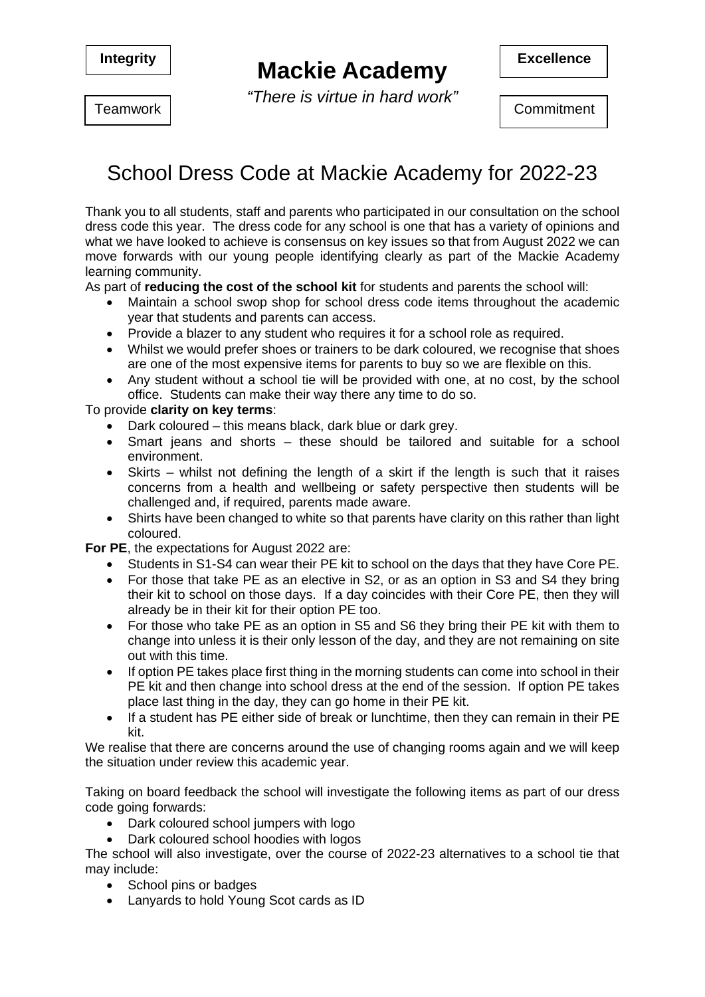*"There is virtue in hard work"* 

Teamwork | interesting the commitment of commitment

## School Dress Code at Mackie Academy for 2022-23

Thank you to all students, staff and parents who participated in our consultation on the school dress code this year. The dress code for any school is one that has a variety of opinions and what we have looked to achieve is consensus on key issues so that from August 2022 we can move forwards with our young people identifying clearly as part of the Mackie Academy learning community.

As part of **reducing the cost of the school kit** for students and parents the school will:

- Maintain a school swop shop for school dress code items throughout the academic year that students and parents can access.
- Provide a blazer to any student who requires it for a school role as required.
- Whilst we would prefer shoes or trainers to be dark coloured, we recognise that shoes are one of the most expensive items for parents to buy so we are flexible on this.
- Any student without a school tie will be provided with one, at no cost, by the school office. Students can make their way there any time to do so.

To provide **clarity on key terms**:

- Dark coloured this means black, dark blue or dark grey.
- Smart jeans and shorts these should be tailored and suitable for a school environment.
- Skirts whilst not defining the length of a skirt if the length is such that it raises concerns from a health and wellbeing or safety perspective then students will be challenged and, if required, parents made aware.
- Shirts have been changed to white so that parents have clarity on this rather than light coloured.

**For PE**, the expectations for August 2022 are:

- Students in S1-S4 can wear their PE kit to school on the days that they have Core PE.
- For those that take PE as an elective in S2, or as an option in S3 and S4 they bring their kit to school on those days. If a day coincides with their Core PE, then they will already be in their kit for their option PE too.
- For those who take PE as an option in S5 and S6 they bring their PE kit with them to change into unless it is their only lesson of the day, and they are not remaining on site out with this time.
- If option PE takes place first thing in the morning students can come into school in their PE kit and then change into school dress at the end of the session. If option PE takes place last thing in the day, they can go home in their PE kit.
- If a student has PE either side of break or lunchtime, then they can remain in their PE kit.

We realise that there are concerns around the use of changing rooms again and we will keep the situation under review this academic year.

Taking on board feedback the school will investigate the following items as part of our dress code going forwards:

- Dark coloured school jumpers with logo
- Dark coloured school hoodies with logos

The school will also investigate, over the course of 2022-23 alternatives to a school tie that may include:

- School pins or badges
- Lanyards to hold Young Scot cards as ID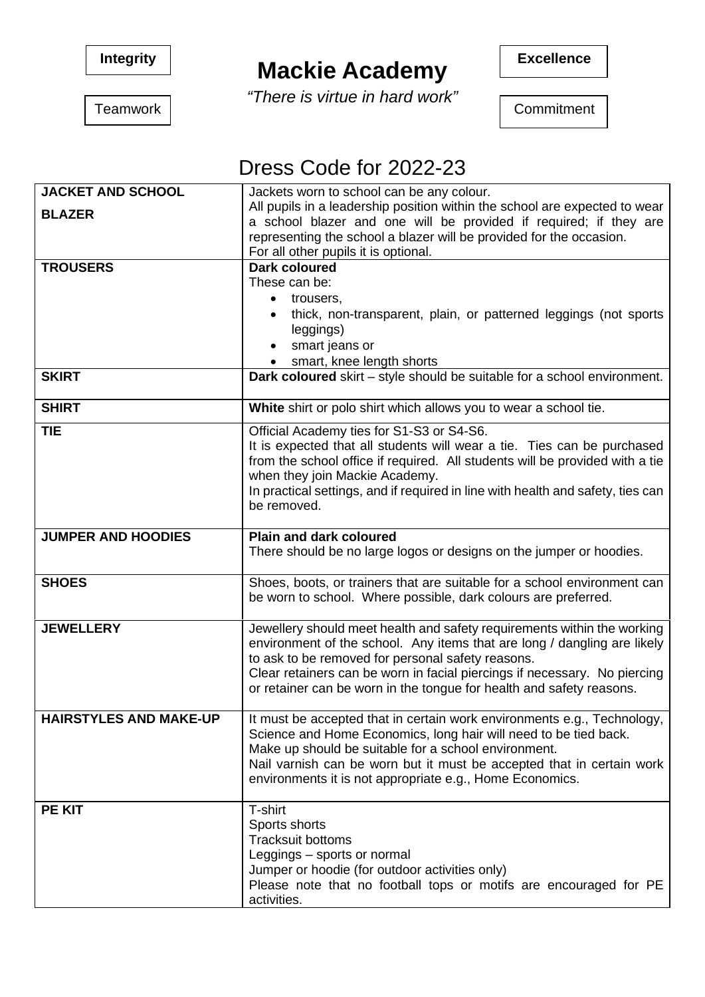

*"There is virtue in hard work"*  Teamwork | There is virtue in hard work | Commitment

#### Dress Code for 2022-23

| <b>JACKET AND SCHOOL</b>      | Jackets worn to school can be any colour.                                                                                                  |  |  |  |  |
|-------------------------------|--------------------------------------------------------------------------------------------------------------------------------------------|--|--|--|--|
| <b>BLAZER</b>                 | All pupils in a leadership position within the school are expected to wear                                                                 |  |  |  |  |
|                               | a school blazer and one will be provided if required; if they are                                                                          |  |  |  |  |
|                               | representing the school a blazer will be provided for the occasion.                                                                        |  |  |  |  |
|                               | For all other pupils it is optional.<br>Dark coloured                                                                                      |  |  |  |  |
| <b>TROUSERS</b>               | These can be:                                                                                                                              |  |  |  |  |
|                               | trousers,<br>$\bullet$                                                                                                                     |  |  |  |  |
|                               | thick, non-transparent, plain, or patterned leggings (not sports                                                                           |  |  |  |  |
|                               | leggings)                                                                                                                                  |  |  |  |  |
|                               | smart jeans or                                                                                                                             |  |  |  |  |
|                               | smart, knee length shorts                                                                                                                  |  |  |  |  |
| <b>SKIRT</b>                  | Dark coloured skirt - style should be suitable for a school environment.                                                                   |  |  |  |  |
| <b>SHIRT</b>                  | White shirt or polo shirt which allows you to wear a school tie.                                                                           |  |  |  |  |
| <b>TIE</b>                    | Official Academy ties for S1-S3 or S4-S6.                                                                                                  |  |  |  |  |
|                               | It is expected that all students will wear a tie. Ties can be purchased                                                                    |  |  |  |  |
|                               | from the school office if required. All students will be provided with a tie<br>when they join Mackie Academy.                             |  |  |  |  |
|                               | In practical settings, and if required in line with health and safety, ties can                                                            |  |  |  |  |
|                               | be removed.                                                                                                                                |  |  |  |  |
|                               |                                                                                                                                            |  |  |  |  |
| <b>JUMPER AND HOODIES</b>     | <b>Plain and dark coloured</b>                                                                                                             |  |  |  |  |
|                               | There should be no large logos or designs on the jumper or hoodies.                                                                        |  |  |  |  |
|                               |                                                                                                                                            |  |  |  |  |
| <b>SHOES</b>                  | Shoes, boots, or trainers that are suitable for a school environment can<br>be worn to school. Where possible, dark colours are preferred. |  |  |  |  |
|                               |                                                                                                                                            |  |  |  |  |
| <b>JEWELLERY</b>              | Jewellery should meet health and safety requirements within the working                                                                    |  |  |  |  |
|                               | environment of the school. Any items that are long / dangling are likely                                                                   |  |  |  |  |
|                               | to ask to be removed for personal safety reasons.                                                                                          |  |  |  |  |
|                               | Clear retainers can be worn in facial piercings if necessary. No piercing                                                                  |  |  |  |  |
|                               | or retainer can be worn in the tongue for health and safety reasons.                                                                       |  |  |  |  |
| <b>HAIRSTYLES AND MAKE-UP</b> | It must be accepted that in certain work environments e.g., Technology,                                                                    |  |  |  |  |
|                               | Science and Home Economics, long hair will need to be tied back.                                                                           |  |  |  |  |
|                               | Make up should be suitable for a school environment.                                                                                       |  |  |  |  |
|                               | Nail varnish can be worn but it must be accepted that in certain work                                                                      |  |  |  |  |
|                               | environments it is not appropriate e.g., Home Economics.                                                                                   |  |  |  |  |
| <b>PE KIT</b>                 | T-shirt                                                                                                                                    |  |  |  |  |
|                               | Sports shorts                                                                                                                              |  |  |  |  |
|                               | <b>Tracksuit bottoms</b>                                                                                                                   |  |  |  |  |
|                               | Leggings - sports or normal                                                                                                                |  |  |  |  |
|                               | Jumper or hoodie (for outdoor activities only)                                                                                             |  |  |  |  |
|                               | Please note that no football tops or motifs are encouraged for PE                                                                          |  |  |  |  |
|                               | activities.                                                                                                                                |  |  |  |  |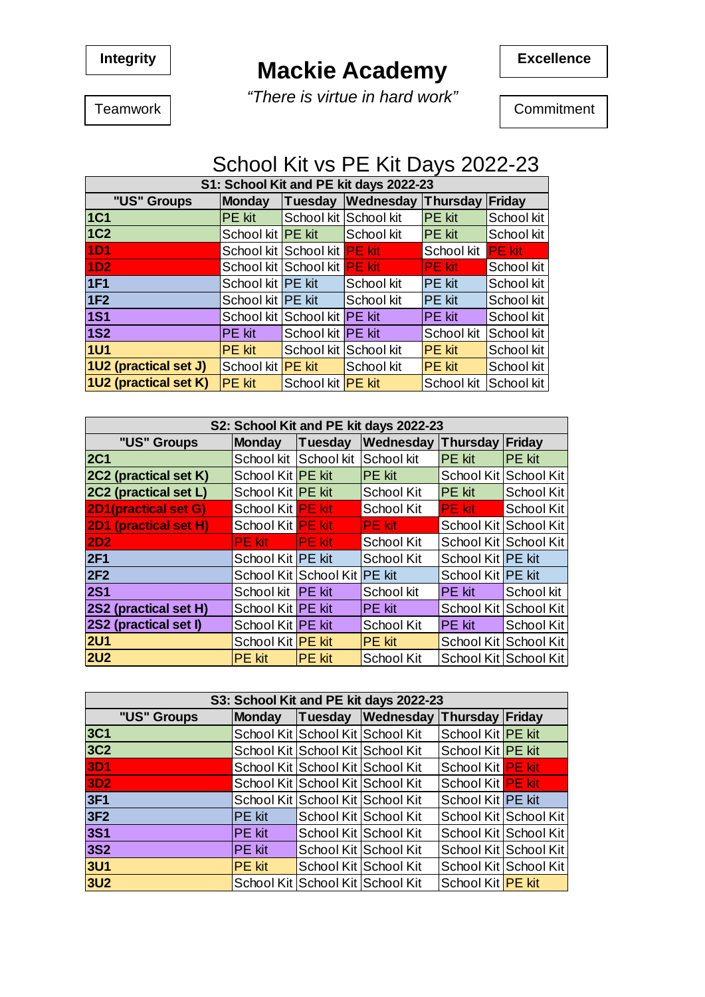

*"There is virtue in hard work"* 

Teamwork | There is virtue in hard work | Commitment

#### School Kit vs PE Kit Days 2022-23

| S1: School Kit and PE kit days 2022-23 |                                 |                                     |                            |               |               |  |  |
|----------------------------------------|---------------------------------|-------------------------------------|----------------------------|---------------|---------------|--|--|
| "US" Groups                            | <b>Monday</b>                   |                                     | Tuesday Wednesday Thursday |               | Friday        |  |  |
| <b>1C1</b>                             | PE kit                          |                                     | School kit School kit      | <b>PE</b> kit | School kit    |  |  |
| <b>1C2</b>                             | School kit <b>PE</b> kit        |                                     | School kit                 | <b>PE</b> kit | School kit    |  |  |
| 1D1                                    |                                 | School kit School kit <b>PE</b> kit |                            | School kit    | <b>PE</b> kit |  |  |
| <b>1D2</b>                             |                                 | School kit School kit <b>PE</b> kit |                            | <b>PE kit</b> | School kit    |  |  |
| <b>1F1</b>                             | School kit <b>PE</b> kit        |                                     | School kit                 | <b>PE</b> kit | School kit    |  |  |
| 1F <sub>2</sub>                        | School kit <b>PE</b> kit        |                                     | School kit                 | PE kit        | School kit    |  |  |
| <b>1S1</b>                             |                                 | School kit School kit <b>PE</b> kit |                            | <b>PE</b> kit | School kit    |  |  |
| <b>1S2</b>                             | <b>PE</b> kit                   | School kit <b>PE</b> kit            |                            | School kit    | School kit    |  |  |
| <b>1U1</b>                             | <b>PE</b> kit                   | School kit School kit               |                            | <b>PE</b> kit | School kit    |  |  |
| 1U2 (practical set J)                  | School kit <mark>IPE kit</mark> |                                     | School kit                 | <b>PE</b> kit | School kit    |  |  |
| 1U2 (practical set K)                  | <b>PE</b> kit                   | School kit <b>PE</b> kit            |                            | School kit    | School kit    |  |  |

| S2: School Kit and PE kit days 2022-23 |                          |                |                   |                       |                       |  |
|----------------------------------------|--------------------------|----------------|-------------------|-----------------------|-----------------------|--|
| "US" Groups                            | <b>Monday</b>            | Tuesday        | Wednesday         | Thursday              | Friday                |  |
| <b>2C1</b>                             | School kit School kit    |                | School kit        | <b>PE</b> kit         | PE kit                |  |
| 2C2 (practical set K)                  | School Kit PE kit        |                | <b>PE</b> kit     | School Kit School Kit |                       |  |
| 2C2 (practical set L)                  | School Kit <b>PE</b> kit |                | School Kit        | <b>IPE</b> kit        | School Kit            |  |
| <b>2D1(practical set G)</b>            | School Kit PE kit        |                | School Kit        | <b>PE kit</b>         | <b>School Kit</b>     |  |
| <b>2D1 (practical set H)</b>           | School Kit PE kit        |                | <b>PE kit</b>     | School Kit School Kit |                       |  |
| <b>2D2</b>                             | <b>PE kit</b>            | <b>PE kit</b>  | <b>School Kit</b> | School Kit School Kit |                       |  |
| 2F1                                    | School Kit   PE kit      |                | School Kit        | School Kit   PE kit   |                       |  |
| 2F2                                    | School Kit School Kit    |                | <b>PE</b> kit     | School Kit   PE kit   |                       |  |
| <b>2S1</b>                             | School kit <b>PE</b> kit |                | School kit        | PE kit                | School kit            |  |
| 2S2 (practical set H)                  | School Kit   PE kit      |                | <b>PE</b> kit     | School Kit School Kit |                       |  |
| 2S2 (practical set I)                  | School Kit   PE kit      |                | <b>School Kit</b> | <b>PE kit</b>         | <b>School Kit</b>     |  |
| <b>2U1</b>                             | School Kit <b>PE</b> kit |                | PE kit            | School Kit School Kit |                       |  |
| <b>2U2</b>                             | <b>PE</b> kit            | <b>IPE kit</b> | <b>School Kit</b> |                       | School Kit School Kit |  |

| S3: School Kit and PE kit days 2022-23 |               |                                  |                       |                          |  |  |  |
|----------------------------------------|---------------|----------------------------------|-----------------------|--------------------------|--|--|--|
| "US" Groups                            | <b>Monday</b> |                                  | Tuesday Wednesday     | <b>Thursday Friday</b>   |  |  |  |
| <b>3C1</b>                             |               | School Kit School Kit School Kit |                       | School Kit <b>PE</b> kit |  |  |  |
| <b>3C2</b>                             |               | School Kit School Kit School Kit |                       | School Kit PE kit        |  |  |  |
| <b>3D1</b>                             |               | School Kit School Kit School Kit |                       | School Kit PE kit        |  |  |  |
| <b>3D2</b>                             |               | School Kit School Kit School Kit |                       | School Kit PE kit        |  |  |  |
| 3F1                                    |               | School Kit School Kit School Kit |                       | School Kit   PE kit      |  |  |  |
| 3F <sub>2</sub>                        | PE kit        |                                  | School Kit School Kit | School Kit School Kit    |  |  |  |
| <b>3S1</b>                             | PE kit        |                                  | School Kit School Kit | School Kit School Kit    |  |  |  |
| <b>3S2</b>                             | PE kit        |                                  | School Kit School Kit | School Kit School Kit    |  |  |  |
| <b>3U1</b>                             | <b>PE</b> kit |                                  | School Kit School Kit | School Kit School Kit    |  |  |  |
| <b>3U2</b>                             |               | School Kit School Kit School Kit |                       | School Kit PE kit        |  |  |  |